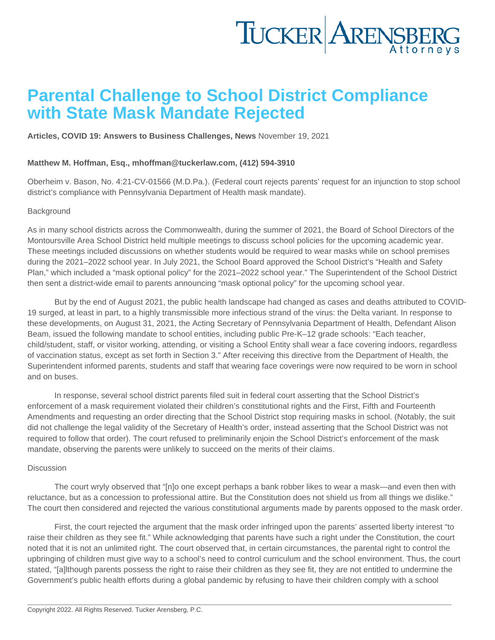## Parental Challenge to School District Compliance with State Mask Mandate Rejected

[Articles](https://www.tuckerlaw.com/category/articles/) , [COVID 19: Answers to Business Challenges](https://www.tuckerlaw.com/category/covid-19-answers-to-business-challenges/) , [News](https://www.tuckerlaw.com/category/news/) November 19, 2021

Matthew M. Hoffman, Esq., [mhoffman@tuckerlaw.com](mailto:mhoffman@tuckerlaw.com) , (412) 594-3910

Oberheim v. Bason, No. 4:21-CV-01566 (M.D.Pa.). (Federal court rejects parents' request for an injunction to stop school district's compliance with Pennsylvania Department of Health mask mandate).

## **Background**

As in many school districts across the Commonwealth, during the summer of 2021, the Board of School Directors of the Montoursville Area School District held multiple meetings to discuss school policies for the upcoming academic year. These meetings included discussions on whether students would be required to wear masks while on school premises during the 2021–2022 school year. In July 2021, the School Board approved the School District's "Health and Safety Plan," which included a "mask optional policy" for the 2021–2022 school year." The Superintendent of the School District then sent a district-wide email to parents announcing "mask optional policy" for the upcoming school year.

 But by the end of August 2021, the public health landscape had changed as cases and deaths attributed to COVID-19 surged, at least in part, to a highly transmissible more infectious strand of the virus: the Delta variant. In response to these developments, on August 31, 2021, the Acting Secretary of Pennsylvania Department of Health, Defendant Alison Beam, issued the following mandate to school entities, including public Pre-K–12 grade schools: "Each teacher, child/student, staff, or visitor working, attending, or visiting a School Entity shall wear a face covering indoors, regardless of vaccination status, except as set forth in Section 3." After receiving this directive from the Department of Health, the Superintendent informed parents, students and staff that wearing face coverings were now required to be worn in school and on buses.

 In response, several school district parents filed suit in federal court asserting that the School District's enforcement of a mask requirement violated their children's constitutional rights and the First, Fifth and Fourteenth Amendments and requesting an order directing that the School District stop requiring masks in school. (Notably, the suit did not challenge the legal validity of the Secretary of Health's order, instead asserting that the School District was not required to follow that order). The court refused to preliminarily enjoin the School District's enforcement of the mask mandate, observing the parents were unlikely to succeed on the merits of their claims.

## **Discussion**

 The court wryly observed that "[n]o one except perhaps a bank robber likes to wear a mask—and even then with reluctance, but as a concession to professional attire. But the Constitution does not shield us from all things we dislike." The court then considered and rejected the various constitutional arguments made by parents opposed to the mask order.

 First, the court rejected the argument that the mask order infringed upon the parents' asserted liberty interest "to raise their children as they see fit." While acknowledging that parents have such a right under the Constitution, the court noted that it is not an unlimited right. The court observed that, in certain circumstances, the parental right to control the upbringing of children must give way to a school's need to control curriculum and the school environment. Thus, the court stated, "[a]lthough parents possess the right to raise their children as they see fit, they are not entitled to undermine the Government's public health efforts during a global pandemic by refusing to have their children comply with a school